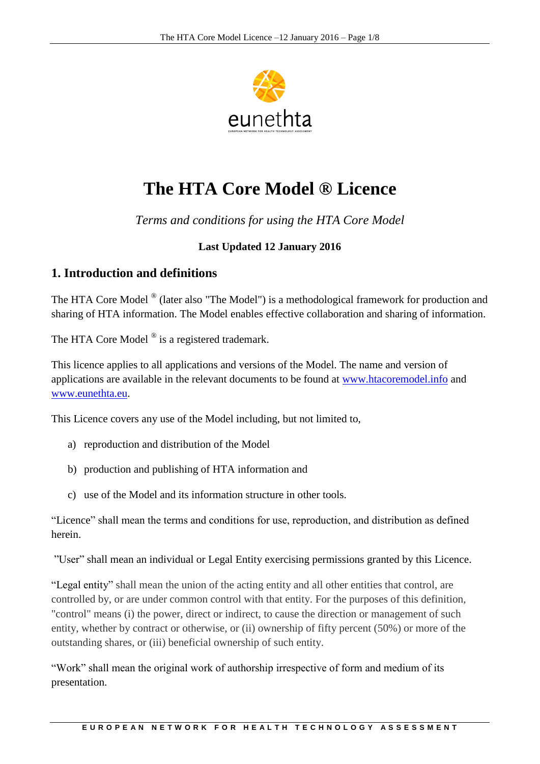

# **The HTA Core Model ® Licence**

*Terms and conditions for using the HTA Core Model*

# **Last Updated 12 January 2016**

# **1. Introduction and definitions**

The HTA Core Model ® (later also "The Model") is a methodological framework for production and sharing of HTA information. The Model enables effective collaboration and sharing of information.

The HTA Core Model  $^{\circledR}$  is a registered trademark.

This licence applies to all applications and versions of the Model. The name and version of applications are available in the relevant documents to be found at [www.htacoremodel.info](http://www.htacoremodel.info/) and [www.eunethta.eu.](http://www.eunethta.eu/)

This Licence covers any use of the Model including, but not limited to,

- a) reproduction and distribution of the Model
- b) production and publishing of HTA information and
- c) use of the Model and its information structure in other tools.

"Licence" shall mean the terms and conditions for use, reproduction, and distribution as defined herein.

"User" shall mean an individual or Legal Entity exercising permissions granted by this Licence.

"Legal entity" shall mean the union of the acting entity and all other entities that control, are controlled by, or are under common control with that entity. For the purposes of this definition, "control" means (i) the power, direct or indirect, to cause the direction or management of such entity, whether by contract or otherwise, or (ii) ownership of fifty percent (50%) or more of the outstanding shares, or (iii) beneficial ownership of such entity.

"Work" shall mean the original work of authorship irrespective of form and medium of its presentation.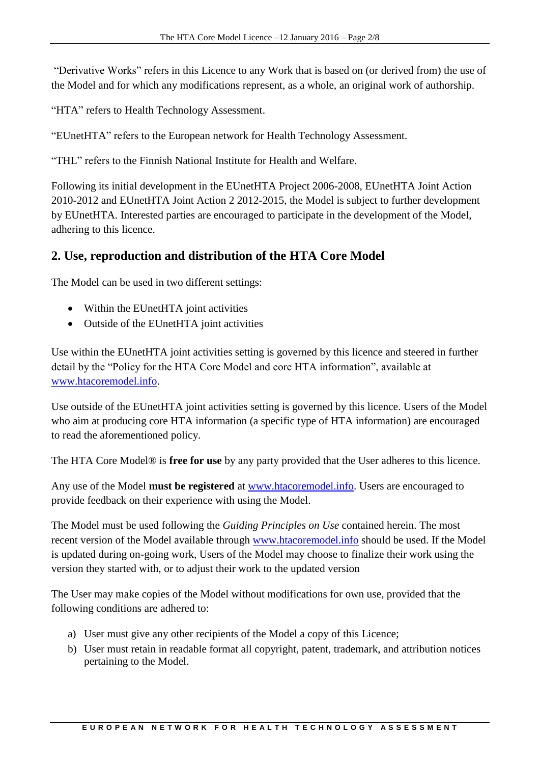"Derivative Works" refers in this Licence to any Work that is based on (or derived from) the use of the Model and for which any modifications represent, as a whole, an original work of authorship.

"HTA" refers to Health Technology Assessment.

"EUnetHTA" refers to the European network for Health Technology Assessment.

"THL" refers to the Finnish National Institute for Health and Welfare.

Following its initial development in the EUnetHTA Project 2006-2008, EUnetHTA Joint Action 2010-2012 and EUnetHTA Joint Action 2 2012-2015, the Model is subject to further development by EUnetHTA. Interested parties are encouraged to participate in the development of the Model, adhering to this licence.

# **2. Use, reproduction and distribution of the HTA Core Model**

The Model can be used in two different settings:

- Within the EUnetHTA joint activities
- Outside of the EUnetHTA joint activities

Use within the EUnetHTA joint activities setting is governed by this licence and steered in further detail by the "Policy for the HTA Core Model and core HTA information", available at [www.htacoremodel.info.](http://www.htacoremodel.info/)

Use outside of the EUnetHTA joint activities setting is governed by this licence. Users of the Model who aim at producing core HTA information (a specific type of HTA information) are encouraged to read the aforementioned policy.

The HTA Core Model® is **free for use** by any party provided that the User adheres to this licence.

Any use of the Model **must be registered** at [www.htacoremodel.info.](http://www.htacoremodel.info/) Users are encouraged to provide feedback on their experience with using the Model.

The Model must be used following the *Guiding Principles on Use* contained herein. The most recent version of the Model available through [www.htacoremodel.info](http://www.htacoremodel.info/) should be used. If the Model is updated during on-going work, Users of the Model may choose to finalize their work using the version they started with, or to adjust their work to the updated version

The User may make copies of the Model without modifications for own use, provided that the following conditions are adhered to:

- a) User must give any other recipients of the Model a copy of this Licence;
- b) User must retain in readable format all copyright, patent, trademark, and attribution notices pertaining to the Model.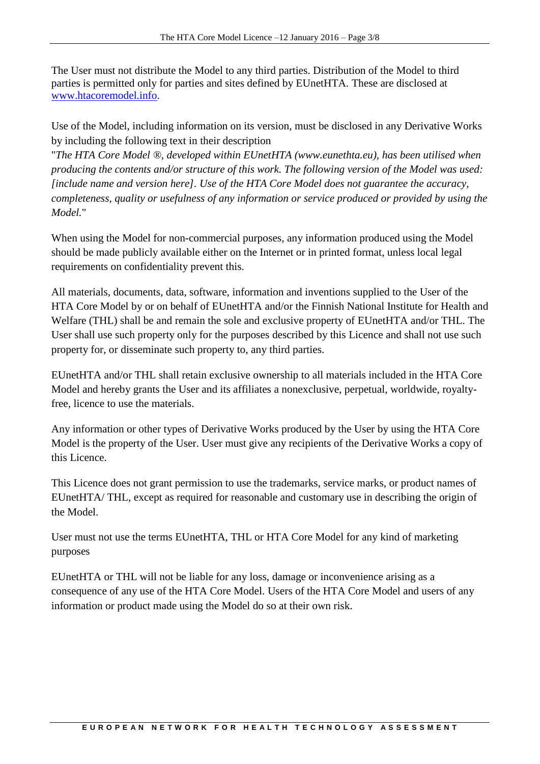The User must not distribute the Model to any third parties. Distribution of the Model to third parties is permitted only for parties and sites defined by EUnetHTA. These are disclosed at [www.htacoremodel.info.](http://www.htacoremodel.info/)

Use of the Model, including information on its version, must be disclosed in any Derivative Works by including the following text in their description

"*The HTA Core Model ®, developed within EUnetHTA (www.eunethta.eu), has been utilised when producing the contents and/or structure of this work. The following version of the Model was used: [include name and version here]. Use of the HTA Core Model does not guarantee the accuracy, completeness, quality or usefulness of any information or service produced or provided by using the Model.*"

When using the Model for non-commercial purposes, any information produced using the Model should be made publicly available either on the Internet or in printed format, unless local legal requirements on confidentiality prevent this.

All materials, documents, data, software, information and inventions supplied to the User of the HTA Core Model by or on behalf of EUnetHTA and/or the Finnish National Institute for Health and Welfare (THL) shall be and remain the sole and exclusive property of EUnetHTA and/or THL. The User shall use such property only for the purposes described by this Licence and shall not use such property for, or disseminate such property to, any third parties.

EUnetHTA and/or THL shall retain exclusive ownership to all materials included in the HTA Core Model and hereby grants the User and its affiliates a nonexclusive, perpetual, worldwide, royaltyfree, licence to use the materials.

Any information or other types of Derivative Works produced by the User by using the HTA Core Model is the property of the User. User must give any recipients of the Derivative Works a copy of this Licence.

This Licence does not grant permission to use the trademarks, service marks, or product names of EUnetHTA/ THL, except as required for reasonable and customary use in describing the origin of the Model.

User must not use the terms EUnetHTA, THL or HTA Core Model for any kind of marketing purposes

EUnetHTA or THL will not be liable for any loss, damage or inconvenience arising as a consequence of any use of the HTA Core Model. Users of the HTA Core Model and users of any information or product made using the Model do so at their own risk.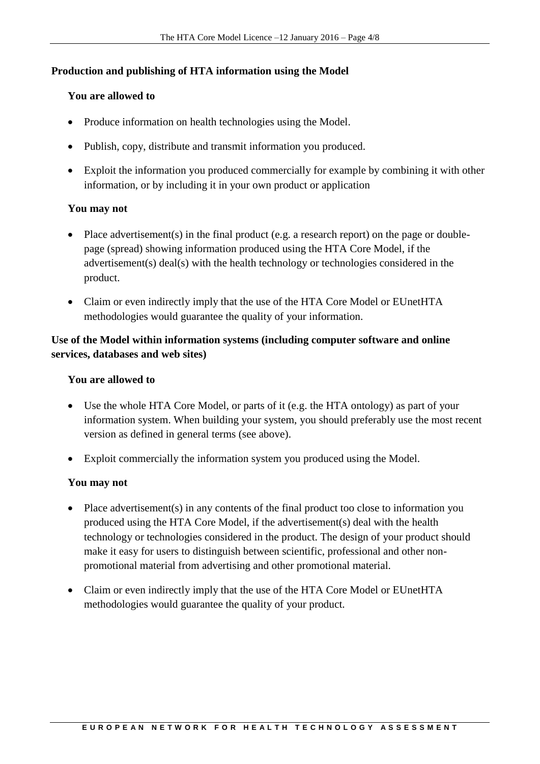# **Production and publishing of HTA information using the Model**

## **You are allowed to**

- Produce information on health technologies using the Model.
- Publish, copy, distribute and transmit information you produced.
- Exploit the information you produced commercially for example by combining it with other information, or by including it in your own product or application

## **You may not**

- Place advertisement(s) in the final product (e.g. a research report) on the page or doublepage (spread) showing information produced using the HTA Core Model, if the advertisement(s) deal(s) with the health technology or technologies considered in the product.
- Claim or even indirectly imply that the use of the HTA Core Model or EUnetHTA methodologies would guarantee the quality of your information.

# **Use of the Model within information systems (including computer software and online services, databases and web sites)**

## **You are allowed to**

- Use the whole HTA Core Model, or parts of it (e.g. the HTA ontology) as part of your information system. When building your system, you should preferably use the most recent version as defined in general terms (see above).
- Exploit commercially the information system you produced using the Model.

#### **You may not**

- Place advertisement(s) in any contents of the final product too close to information you produced using the HTA Core Model, if the advertisement(s) deal with the health technology or technologies considered in the product. The design of your product should make it easy for users to distinguish between scientific, professional and other nonpromotional material from advertising and other promotional material.
- Claim or even indirectly imply that the use of the HTA Core Model or EUnetHTA methodologies would guarantee the quality of your product.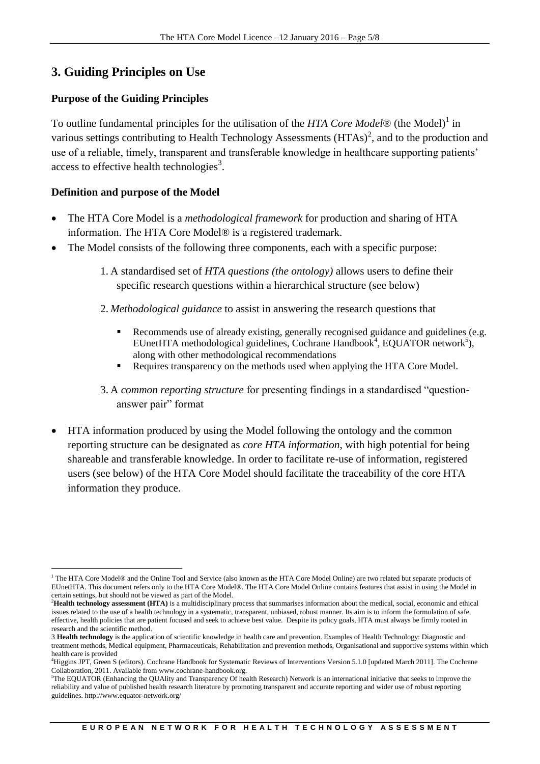# **3. Guiding Principles on Use**

# **Purpose of the Guiding Principles**

To outline fundamental principles for the utilisation of the *HTA Core Model*® (the Model) 1 in various settings contributing to Health Technology Assessments  $(HTAs)^2$ , and to the production and use of a reliable, timely, transparent and transferable knowledge in healthcare supporting patients' access to effective health technologies<sup>3</sup>.

# **Definition and purpose of the Model**

- The HTA Core Model is a *methodological framework* for production and sharing of HTA information. The HTA Core Model® is a registered trademark.
- The Model consists of the following three components, each with a specific purpose:
	- 1. A standardised set of *HTA questions (the ontology)* allows users to define their specific research questions within a hierarchical structure (see below)
	- 2. *Methodological guidance* to assist in answering the research questions that
		- Recommends use of already existing, generally recognised guidance and guidelines (e.g.  $E$ UnetHTA methodological guidelines, Cochrane Handbook<sup>4</sup>, EQUATOR network<sup>5</sup>), along with other methodological recommendations
		- Requires transparency on the methods used when applying the HTA Core Model.
	- 3. A *common reporting structure* for presenting findings in a standardised "questionanswer pair" format
- HTA information produced by using the Model following the ontology and the common reporting structure can be designated as *core HTA information*, with high potential for being shareable and transferable knowledge. In order to facilitate re-use of information, registered users (see below) of the HTA Core Model should facilitate the traceability of the core HTA information they produce.

<sup>-</sup><sup>1</sup> The HTA Core Model® and the Online Tool and Service (also known as the HTA Core Model Online) are two related but separate products of EUnetHTA. This document refers only to the HTA Core Model®. The HTA Core Model Online contains features that assist in using the Model in certain settings, but should not be viewed as part of the Model.

<sup>&</sup>lt;sup>2</sup>Health technology assessment (HTA) is a multidisciplinary process that summarises information about the medical, social, economic and ethical issues related to the use of a health technology in a systematic, transparent, unbiased, robust manner. Its aim is to inform the formulation of safe, effective, health policies that are patient focused and seek to achieve best value. Despite its policy goals, HTA must always be firmly rooted in research and the scientific method.

<sup>3</sup> **Health technology** is the application of scientific knowledge in health care and prevention. Examples of Health Technology: Diagnostic and treatment methods, Medical equipment, Pharmaceuticals, Rehabilitation and prevention methods, Organisational and supportive systems within which health care is provided

<sup>4</sup>Higgins JPT, Green S (editors). Cochrane Handbook for Systematic Reviews of Interventions Version 5.1.0 [updated March 2011]. The Cochrane Collaboration, 2011. Available from www.cochrane-handbook.org.

<sup>5</sup>The EQUATOR (Enhancing the QUAlity and Transparency Of health Research) Network is an international initiative that seeks to improve the reliability and value of published health research literature by promoting transparent and accurate reporting and wider use of robust reporting guidelines. http://www.equator-network.org/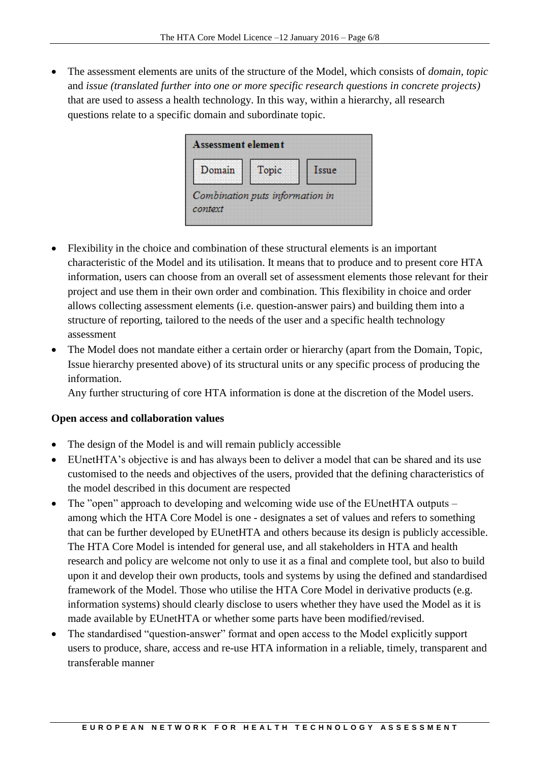The assessment elements are units of the structure of the Model, which consists of *domain*, *topic* and *issue (translated further into one or more specific research questions in concrete projects)* that are used to assess a health technology. In this way, within a hierarchy, all research questions relate to a specific domain and subordinate topic.



- Flexibility in the choice and combination of these structural elements is an important characteristic of the Model and its utilisation. It means that to produce and to present core HTA information, users can choose from an overall set of assessment elements those relevant for their project and use them in their own order and combination. This flexibility in choice and order allows collecting assessment elements (i.e. question-answer pairs) and building them into a structure of reporting, tailored to the needs of the user and a specific health technology assessment
- The Model does not mandate either a certain order or hierarchy (apart from the Domain, Topic, Issue hierarchy presented above) of its structural units or any specific process of producing the information.

Any further structuring of core HTA information is done at the discretion of the Model users.

# **Open access and collaboration values**

- The design of the Model is and will remain publicly accessible
- EUnetHTA's objective is and has always been to deliver a model that can be shared and its use customised to the needs and objectives of the users, provided that the defining characteristics of the model described in this document are respected
- The "open" approach to developing and welcoming wide use of the EUnetHTA outputs among which the HTA Core Model is one - designates a set of values and refers to something that can be further developed by EUnetHTA and others because its design is publicly accessible. The HTA Core Model is intended for general use, and all stakeholders in HTA and health research and policy are welcome not only to use it as a final and complete tool, but also to build upon it and develop their own products, tools and systems by using the defined and standardised framework of the Model. Those who utilise the HTA Core Model in derivative products (e.g. information systems) should clearly disclose to users whether they have used the Model as it is made available by EUnetHTA or whether some parts have been modified/revised.
- The standardised "question-answer" format and open access to the Model explicitly support users to produce, share, access and re-use HTA information in a reliable, timely, transparent and transferable manner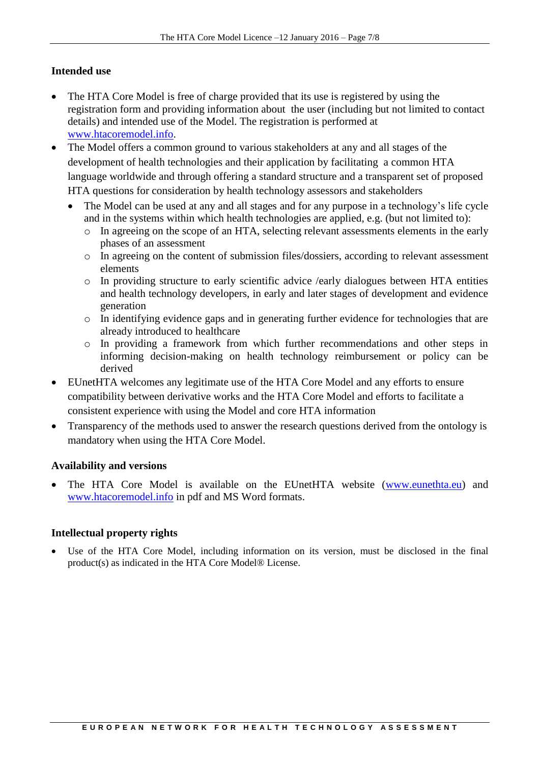# **Intended use**

- The HTA Core Model is free of charge provided that its use is registered by using the registration form and providing information about the user (including but not limited to contact details) and intended use of the Model. The registration is performed at [www.htacoremodel.info.](http://www.htacoremodel.info/)
- The Model offers a common ground to various stakeholders at any and all stages of the development of health technologies and their application by facilitating a common HTA language worldwide and through offering a standard structure and a transparent set of proposed HTA questions for consideration by health technology assessors and stakeholders
	- The Model can be used at any and all stages and for any purpose in a technology's life cycle and in the systems within which health technologies are applied, e.g. (but not limited to):
		- o In agreeing on the scope of an HTA, selecting relevant assessments elements in the early phases of an assessment
		- o In agreeing on the content of submission files/dossiers, according to relevant assessment elements
		- o In providing structure to early scientific advice /early dialogues between HTA entities and health technology developers, in early and later stages of development and evidence generation
		- o In identifying evidence gaps and in generating further evidence for technologies that are already introduced to healthcare
		- o In providing a framework from which further recommendations and other steps in informing decision-making on health technology reimbursement or policy can be derived
- EUnetHTA welcomes any legitimate use of the HTA Core Model and any efforts to ensure compatibility between derivative works and the HTA Core Model and efforts to facilitate a consistent experience with using the Model and core HTA information
- Transparency of the methods used to answer the research questions derived from the ontology is mandatory when using the HTA Core Model.

# **Availability and versions**

The HTA Core Model is available on the EUnetHTA website [\(www.eunethta.eu\)](http://www.eunethta.eu/) and [www.htacoremodel.info](http://www.htacoremodel.info/) in pdf and MS Word formats.

# **Intellectual property rights**

 Use of the HTA Core Model, including information on its version, must be disclosed in the final product(s) as indicated in the HTA Core Model® License.